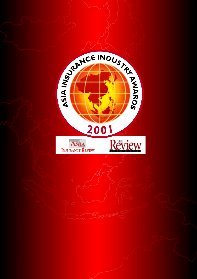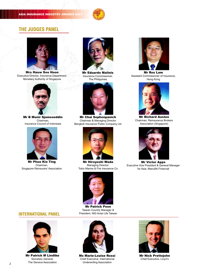## **ASIA INSURANCE INDUSTRY AWARDS**



## **THE JUDGES PANEL**



Mrs Hauw Soo Hoon Executive Director, Insurance Department, Monetary Authority of Singapore



Mr B Munir Sjamsoeddin Chairman, Insurance Council of Indonesia



Mr Phua Kia Ting Chairman, Singapore Reinsurers' Association



Mr Eduardo Malinis Insurance Commissioner, The Philippines



Mr Chai Sophonpanich Chairman & Managing Director Bangkok Insurance Public Company Ltd



Mr Hiroyoshi Wada Managing Director, Tokio Marine & Fire Insurance Co



Mr Patrick Poon Taiwan Country Manager & President, ING Antai Life Taiwan



Mr Ros Lam Assistant Commissioner of Insurance, Hong Kong



Mr Richard Austen Chairman, Reinsurance Brokers Association (Singapore)



Mr Victor Apps Executive Vice President & General Manager for Asia, Manulife Financial





Mr Patrick M Liedtke Secretary General, The Geneva Association



Ms Marie-Louise Rossi Chief Executive, International Underwriting Association



Mr Nick Prettejohn Chief Executive, Lloyd's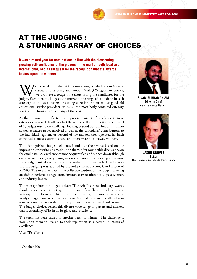**INSURANCE INDUSTRY AWARDS 2001** 



# AT THE JUDGING : A STUNNING ARRAY OF CHOICES

**It was a record year for nominations in line with the blossoming growing self-confidence of the players in the market, both local and international, and a real quest for the recognition that the Awards bestow upon the winners.**

We received more than 400 nominations, of which about 80 were disqualified as being anonymous. With 326 legitimate entries, we did have a tough time short-listing the candidates for the judges. Even then the judges were am disqualified as being anonymous. With 326 legitimate entries, we did have a tough time short-listing the candidates for the judges. Even then the judges were amazed at the range of candidates in each category, be it loss adjusters or cutting edge innovation or just good old educational service providers. As usual, the most hotly contested category was the Life Insurance Company of the Year.

As the nominations reflected an impressive pursuit of excellence in most categories, it was difficult to select the winners. But the distinguished panel of 13 judges rose to the challenge, looking beyond bottom line at the micro as well as macro issues involved as well as the candidates' contributions to the individual segment or beyond of the markets they operated in. Each entry had a success story to share, and there were no runaway winners.

The distinguished judges deliberated and cast their votes based on the impressions the write-ups made upon them, after roundtable discussions on the candidates. As excellence cannot be quantified and pinned down although easily recognisable, the judging was not an attempt at seeking consensus. Each judge ranked the candidates according to his individual preferences and the judging was audited by the independent auditor, Carol Eapen of KPMG. The results represent the collective wisdom of the judges, drawing on their experience as regulators, insurance association heads, past winners and industry leaders.

The message from the judges is clear: "The Asia Insurance Industry Awards should be seen as contributing to the pursuit of excellence which can come in many forms, from both big and small companies, or in more advanced or newly emerging markets." To paraphrase Walter de la Mare liberally what to some is plain trash is to others the very essence of their survival and creativity. The judges' choices reflect this diverse wide range of players and markets that is essentially ASIA in all its glory and excellence.

The torch has been passed to another batch of winners. The challenge is now upon them to live up to their reputation as successful pursuers of excellence.

Vive L'Excellence!

1 October 2001



**SIVAM SUBRAMANIAM** Editor-in-Chief Asia Insurance Review



**JASON GROVES** Editor The Review - Worldwide Reinsurance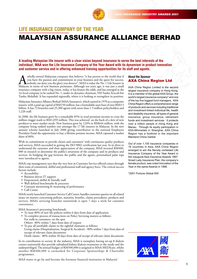

# **LIFE INSURANCE COMPANY OF THE YEAR**

## MALAYSIAN ASSURANCE ALLIANCE BERHAD

## **A leading Malaysian life insurer with a clear vision beyond insurance to serve the best interests of the individual, MAA won the Life Insurance Company of the Year Award with its dynamism in product innovation and customer service and in offering enhanced training opportunities for its staff and agents.**

wholly-owned Malaysian company that believes "it has proven to the world that if<br>you have the passion and commitment in your business and the quest for success,<br>holody can deny you the glory you deserve", MAA is today the you have the passion and commitment in your business and the quest for success, nobody can deny you the glory you deserve", MAA is today the No. 1 Life Insurer in Malaysia in terms of new business premiums. Although ten years ago, it was just a small insurance company with a big vision, today, it has beaten the odds, and has emerged as the 1st local company to be ranked No. 1, under its dynamic chairman, YM Tunku Ya'acob bin Tunku Abdullah. It has expanded regionally, where it is looking to strengthen its position.

Malaysian Assurance Alliance Berhad (MAA Assurance), which started in 1970 as a composite insurer, with a paid up capital of RM150 million, has a formidable asset base of over RM3.5 billion. It has 72 branches and 25,300 agents with more than 1.5 million policyholders and 1,220 staff.

In 2000, the life business grew by a remarkable 85% in total premium income to cross the million ringgit mark to  $\overline{RM1,059}$  million. This was achieved on the back of a slew of new products to meet market needs. New business grew by 124% to RM644 million, with the company being ranked number one amongst the 17 life insurers in Malaysia. In the new annuity scheme launched in July 2000 giving contributors to the national Employees Provident Fund the opportunity to buy a lifetime pension income, MAA captured a market share of 60%.

With its commitment to provide clients and customers' with continuous quality products and services, MAA succeeded in getting the ISO 9002 certification last year. In its drive to understand the customer and their appreciation of the company, MAA invested RM400, 000 in research to determine the public's awareness of the company and its products and services. In bridging the gap between the public and the agents, personalised palm tops were introduced to agents.

MAA's top management says that the very best in Customer Service offered comes through their team of committed, skilful and professional staff and agency force. The critical success factors include:

- Accessibility
- Business driven IT support
- Empowered, skilful  $&$  friendly staff
- Well defined benchmarks & processes
- Constant monitoring & measuring of performance
- Call Centre

MAA's newly launched Customer Service Call Centre, handles customer queries on all related issues on matters concerning policies, maturity, benefits, claims procedures, products and services. MAA's servicing branches nationwide is open 7 days a week for customer convenience.

MAA Assurance's processing benchmark:

- To issue 80% of new life policies within 6 days from date of application.
- To complete process of transactions on Policy Servicing matters as follows: For walk-in customers: on the spot
	- Others: 80% within 7 days from date of request
- To pay all justifiable claims to the rightful claimants as follows:
- Living claims (Hospitalisation, Surgical & Accident) 80% within 7 days from date of receipt of relevant claim documents

Death claims - 80% within 30 days from date of receipt of relevant claim documents

In its contribution to society & the industry, MAA is exemplary having set-up 8 dialysis centres nationwide that provide subsidised kidney dialysis treatments to the needy and the underprivileged. The annual budget of RM500,000 is assigned to MAA-MEDIcare, whilst another RM400,000 is earmarked for Corporate Sponsorships & Charitable programmes.

MAA wants to go far and become the foremost financial institution in Malaysia!

#### **About the Sponsor** AXA China Region Ltd

AXA China Region Limited is the second largest insurance company in Hong Kong. It is a member of the global AXA Group, the world's largest insurance company\* and one of the top five biggest fund managers. AXA China Region offers a comprehensive range of products and services including traditional and investment-linked individual life, health and disability insurance, all types of general insurance, group insurance, retirement funds and investment services. It protects over a million people in Hong Kong and Macau. Through its equity participation in AXA-Minmetals in Shanghai, AXA China Region has a foothold in the important Mainland China market.

Out of over 1,100 insurance companies in 19 countries in Asia, AXA China Region emerged to win the fiercely contested Life Insurance Company of the Year Award in the inaugural Asia Insurance Awards 1997. Smart Lady Insurance Plan, the company's female product, was voted Innovation of the Year in the same Awards in 1998.

\*2001 Fortune Global 500

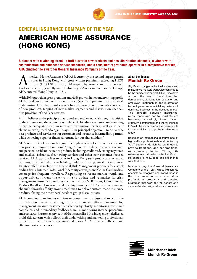

# **GENERAL INSURANCE COMPANY OF THE YEAR** AMERICAN HOME ASSURANCE

(HONG KONG)

**A pioneer with a winning streak, a trail blazer in new products and new distribution channels, a winner with customisation and enhanced service standards, and a consistently profitable operator in a competitive market, AHA clinched the award for General Insurance Company of the Year.**

merican Home Assurance (AHA) is currently the second largest general<br>insurer in Hong Kong with gross written premiums exceeding HK\$1<br>Underwriters Ltd., (a wholly owned subsidiary of American International Group.) insurer in Hong Kong with gross written premiums exceeding HK\$1 billion (US\$130 million). Managed by American International Underwriters Ltd., (a wholly owned subsidiary of American International Group,) AHA entered Hong Kong in 1931.

With 20% growth in gross premium and 46% growth in net underwriting profit, AHA stood out in a market that saw only a 6.5% rise in premium and an overall underwriting loss. These results were achieved through continuous development of new products, tapping of new market segments and distribution channels plus provision of ancillary services.

A firm believer in the principle that sound and stable financial strength is critical to the industry and the economy as a whole, AHA advocates a strict underwriting discipline, adequate premium rates and commission levels as well as prudent claims reserving methodology. It says: "Our principal objective is to deliver the best products and services to our customers and insurance intermediary partners while achieving superior financial returns for our shareholders."

AHA is a market leader in bringing the highest level of customer service and new product innovation in Hong Kong. A pioneer in direct marketing of auto and personal accident insurance products including credit card, emergency travel and medical assistance, free towing services and other new customer-focused services, AHA was the first to offer in Hong Kong such products as extended warranty, directors and officers liability, trade credit and political risk insurance. Its latest offerings include the Financial Risk Management products for e-stock trading firms, Internet Professional Indemnity coverage, and China Card medical coverage for frequent travellers. Responding to recent market trends and opportunities, it went the extra mile to update and re-market its crisis management insurance products such as Kidnap & Ransom, Contaminated Product Recall and Environmental Liability Insurance. AHA created new market channels through affinity groups marketing to deliver custom-made insurance products fitting their members' needs at group discount rates.

AHA consciously maintains efficient response time to adjust and to act in the insureds' best interest in settling claims in a fair and efficient manner. Top management measure customer satisfaction by closely monitoring consumer complaints and intermediary feedback as well as monitoring internal procedures and standards. Customer service in AHA is centralized in a independent dedicated multi-skilled team which allows their underwriting and marketing professionals to focus on their business objectives and allows AHA to deliver efficient and effective customer service.

#### **About the Sponsor** Munich Re Group

Significant changes within the insurance and reinsurance markets worldwide continue to be the number one subject. Chief Executives around the world have identified deregulation, globalization, customer and employee relationships and information technology as issues which they believe will dominate business in the decades ahead. The borders between insurance, reinsurance and capital markets are becoming increasingly blurred. Vision, creativity, commitment and the willingness to "walk the extra mile" are a pre-requisite to successfully manage the challenges of today.

Based on an international resource pool of high calibre professionals and backed by 'AAA' security, Munich Re continues to provide traditional and non-traditional reinsurance protection. Through its extensive international organization, Munich Re shares its knowledge and experience with its clients.

In sponsoring the General Insurance Company of the Year Award, Munich Re attempts to recognize and award those in the insurance industry who show professional creativity and develop strategies that work for the benefit of a variety of audiences, products and services.



**Münchener Rück Munich Re Group**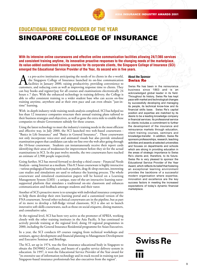

## **EDUCATIONAL SERVICE PROVIDER OF THE YEAR** SINGAPORE COLLEGE OF INSURANCE

**With its intensive online coursewares and effective online communication facilities allowing 24/7/365 services and consistent training anytime, its innovative proactive responses to the changing needs of the marketplace, its value-added customised training courses for its corporate clients, the Singapore College of Insurance (SCI) emerged the Educational Service Provider of the Year, its second win in five years.**

As a pro-active institution anticipating the needs of its clients in the e-world, the Singapore College of Insurance launched its on-line communication facilities in January 2000, raising productivity, providing convenienc the Singapore College of Insurance launched its on-line communication facilities in January 2000, raising productivity, providing convenience to customers, and reducing costs as well as improving response time to clients. They can buy books and register/pay for all courses and examinations electronically 24 hours x 7 days. With the enhanced technology in training delivery, the College is able to offer consistent training to a wider student base who can access on-line training anytime, anywhere and at their own pace and can even obtain "just-intime" learning.

With in-depth industry-wide training needs analysis completed, SCI has helped no less than 12 insurance companies structure their annual training plans tailored to their business strategies and objectives, as well as gone the extra mile to enable these companies to obtain Government subsidy for these courses.

Using the latest technology to meet the industry's training needs in the most efficient and effective way, in July 2000, the SCI launched two web-based coursewares - "Basics in Life Insurance" and "Basics in General Insurance". These coursewares not only incorporate voice-over and animated visuals but also provide simulated examination papers that candidates can take on-line over the web after going through the 10-hour courseware. Students can instantaneously receive their report cards identifying their areas of weaknesses for improvement before they sit for the actual examinations in SCI. In the past twelve months, the two coursewares have reached an estimate of 2,900 people respectively.

Going further, SCI has moved forward to develop a third course - Financial Needs Analysis - using Internet as a medium. This 8.5 hour courseware is highly interactive - various pedagogical learning tools such as puzzles, drag-&-drop exercises, interesting case studies and simulations are used to enhance the learning process. The whole courseware and simulated examination papers will be hosted on a Learning Management System (LMS) - a unique, state-of-the-art interactive learning tutorsupported platform that simulates a traditional on-site classroom and enhances communication and feedback amongst students and their tutor.

Another of SCI's proactive move is to synergise with individual insurance companies to help them develop their own learning portal and a customized version of the FNA courseware. Several other technical coursewares are in the pipeline, but as part of its move to develop a full-fledge virtual classroom, SCI is also set to launch innovative soft-skills coursewares, such as those on social etiquette, dining manners, and consultative sales.

At the regional level, SCI has been very active as the promoter of APRIA, working closely with the other training institutes in the Asia Pacific. It has continued to actively provide training at the regional level, doing 10 regional programmes in 2000, including the General Insurance Residential programme for Asian Executives.

In a year, the SCI conducts 69 courses ranging from technical workshops and seminars, agency development and financial planning to Management Development and Executive Seminar and Briefings.

The SCI, set up in 1974, was the first insurance educational body in Singapore to obtain the ISO9002 Certificate, and boasts of a quality service delivery system in education. In 1997, it won the Educational Service Provider of the Year award for "its extensive use of information technology and its track record in training not just Singapore-based insurance professionals but also executives from the region".

#### **About the Sponsor** Swiss Re

Swiss Re has been in the reinsurance business since 1863 and is an acknowledged global leader in its field. Throughout its history, Swiss Re has kept pace with market and technological changes by successfully developing and managing its people, its technical know-how and its financial skills base. Swiss Re's capital position and expertise are matched by its desire to be a leading knowledge company in financial services. Its professional service to clients includes a commitment to further the development of the insurance and reinsurance markets through education, client training courses, seminars and knowledge-transfer. In addition, Swiss Re sponsors professorships, research, teaching activities and awards at selected universities and focuses on departments and schools which are strong in providing education in the areas of strategic importance to Swiss Re's clients and, therefore, to its future. Swiss Re is very pleased to sponsor the Educational Service Provider of the Year Award, which reflects its belief that fostering an exceptional learning environment provides the backbone of a successful modern organisation where expertise, innovation and excellence are the key success factors in meeting the increased expectations of today's dynamic financial marketplace.

# **Swiss Re**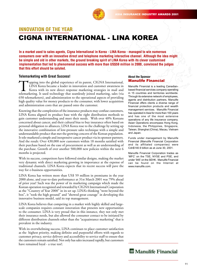

## **INNOVATION OF THE YEAR** CIGNA INTERNATIONAL - LINA KOREA

**In a market used to sales agents, Cigna International in Korea - LINA Korea - managed to win numerous consumers over with an innovative direct and telephone marketing interactive channel. Although the idea might be simple and old in other markets, the ground breaking spirit of LINA Korea with its clever customised implementation that led to phenomenal success with more than US\$59 million in 2000, convinced the judges that this effort should be saluted.**

#### **Telemarketing with Great Success!**

Tapping into the global experience of its parent, CIGNA International, LINA Korea became a leader in innovation and customer awareness in Korea with its new direct response marketing strategies in mail and telemarketing. I LINA Korea became a leader in innovation and customer awareness in Korea with its new direct response marketing strategies in mail and 650 telemarketers), and administration to the operational aspects of providing high quality value for money products to the consumer, with lower acquisition and administration costs that are passed onto the customer.

Knowing that the complexities of the insurance products may confuse customers, LINA Korea aligned its product base with the right distribution methods to gain customer understanding and meet their needs. With over 40% Koreans concerned about cancer, and their cultural bias to buy insurance often based on personal obligation to alliances, LINA Korea rose to the challenge by setting up the innovative combination of low-pressure sales technique with a simple and understandable product that met the growing concern of the Korean population. It tele-marketed a simple and inexpensive cancer product via its sponsor partners. And the result: Over 430,000 new customers within 18 months satisfied with their purchase based on the ease of procurement as well as an understanding of the purchase. Growth of over another 500,000 new policies within the next 6 months is projected.

With its success, competitors have followed similar designs, making the market very dynamic with direct marketing growing in importance at the expense of traditional channels. LINA Korea expects that its recent success will pave the way for e-business opportunities.

LINA Korea has written more than US\$ 59 million in premiums in the year 2000 alone, and year-to-date performance at 31st March 2001 was 79% ahead of prior year! Such was the power of its marketing campaign which made the Korean operation recognized and rewarded by CIGNA International Corporation as the "Country of Year 2000" in its set up. LINA's thinking "went beyond the box", it "took the high ground" and "showed great courage" in developing this innovative business model, said its top management.

LINA Korea believes that competing in a market with highly skilled and largescale companies requires constant innovation that presents new opportunities to the consumer. LINA is very proud that in this instance, they not only met their insurance needs, but also allowed the consumer contact to be initiated by different distribution channels other than the "acquaintance marketing" that is prevalent in the industry.

With its overwhelming success, LINA continues to place customer satisfaction as the highest priority, making definite and purposeful efforts with regards to customer privacy, service delivery and accessibility to service staff to ensure that the customers remain satisfied. Not only has sales increased rapidly, but customers have remained loyal - a true test!.

#### **About the Sponsor** Manulife Financial

Manulife Financial is a leading Canadianbased financial services company operating in 15 countries and territories worldwide. Through its extensive network of employees, agents and distribution partners, Manulife Financial offers clients a diverse range of financial protection products and wealth management services. Manulife Financial has operated in Asia for more than 100 years and has one of the most extensive operations of any life insurance company. Asian Operations encompass Hong Kong, Indonesia, the Philippines, Singapore, Taiwan, Shanghai (China), Macau, Vietnam and Japan.

Funds under management by Manulife Financial (Manulife Financial Corporation and its affiliated companies) were Cdn\$140.9 billion as at June 30, 2001.

Manulife Financial Corporation trades as 'MFC' on the TSE, NYSE and PSE, and under '945' on the SEHK. Manulife Financial can be found on the Internet at www.manulife.com.

**III** Manulife Financial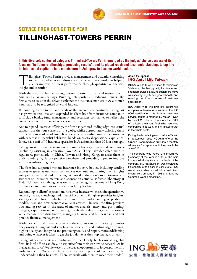

## **SERVICE PROVIDER OF THE YEAR** TILLINGHAST-TOWERS PERRIN

**In this diversely contested category, Tillinghast-Towers Perrin emerged as the judges' choice because of its focus on "building relationships, producing results", and its global reach and local understanding, to tap into its intellectual capital to help clients here in Asia grow to become world leaders.**

Tillinghast-Towers Perrin provides management and actuarial consulting to the financial services industry worldwide with its consultants helping clients improve business performance through quantitative analysis, insight and execution.

With the vision to be the leading business partner to financial institutions in Asia, with a tagline that says "Building Relationships - Producing Results", the firm aims to assist in the drive to enhance the insurance markets in Asia to such a standard to be recognised as world leaders.

Responding to the trends and needs of the marketplace positively, Tillinghast has grown its resources and expanded its client base from insurance companies to include banks, fund management and securities companies to reflect the convergence of the financial services industries.

And to expand its service offerings, the firm has gathered leading edge intellectual capital from the four corners of the globe, whilst appropriately tailoring them for the various markets of Asia. It actively recruits leading market practitioners with expertise in specialist fields with hands-on practical operational experience. It now has a staff of 50 insurance specialists in Asia from less than 10 four years ago.

Tillinghast staff are active members of actuarial bodies, councils and committees (including assisting in education) over Asia. They have dedicated time to regulators, particularly in China, Taiwan and Hong Kong, to assist them in understanding regulatory practice elsewhere and providing input to improve various regulatory regimes.

The firm has supported various insurance industry bodies, including sending experts to speak at numerous conferences over Asia and sharing their insights with practitioners and leaders. Tillinghast provides education sessions to university students on insurance matters and sponsor an actuarial software laboratory at Fudan University in Shanghai as well as provide regular sessions at Hong Kong universities and seminars to insurance industry leaders.

Responding to clients' expectations for advice in areas which require quantitative analysis, market knowledge and financial acumen, Tillinghast provides insights, strategies and solutions which arise from a deep understanding of predictive models, risks and how economic value is created. In Asia, the firm provides outstanding services in the areas of market analysis, entry, and positioning; mergers, acquisitions and restructuring; shareholder value management; customer value management; distribution; managing financial and business risk; and best practice financial management.

With the clients and the enhancement of the insurance industry as its top number one priority, Tillinghast ranks professional excellence and leading edge thinking; highest quality and integrity; and producing results and responsiveness (delivering and doing whatever it takes to get the job done) as their top strategic drivers.

Tillinghast boasts that its relationships are formed locally; but because it's a global firm, its local offices can draw on expertise from their worldwide network. As its management says: "We view every project as an opportunity to forge a partnership with our clients. We approach them first by listening, by asking questions, by understanding their business. Then, we work with them to meet their needs."

#### **About the Sponsor** ING Antai Life Taiwan

ING Antai Life Taiwan defines its mission as "delivering the best quality insurance and financial services, allowing customers to live with security, dignity and greater health, and evoking the highest degree of customer satisfaction".

ING Antai was the first life insurance company in Taiwan to be awarded the ISO 9002 certification. Its 24-hour customer service center is manned by roster - even by the CEO. The firm has more than 60% of market share among foreign life insurance companies in Taiwan, and is ranked fourth in the whole sector.

During the devastating earthquake in Taiwan in September 1999, ING Antai offered the Orphan Program which provides a monthly allowance for orphans until they reach the age of 20.

The company was voted Life Insurance Company of the Year in 1998 at the Asia Insurance Industry Awards; the leader of the company, Mr. Patrick Poon, was elected as Personality of the Year in year 2000. ING Antai was also voted Most Admired Insurance Company in 1998 and 2000 by Common Wealth magazine.

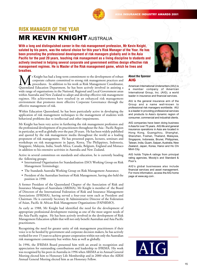

## **RISK MANAGER OF THE YEAR** MR KEVIN KNIGHT AUSTRALIA

**With a long and distinguished career in the risk management profession, Mr Kevin Knight, saluted by his peers, was the natural choice for this year's Risk Manager of the Year. He has been promoting the professional development of risk managers globally and in the Asia Pacific for the past 20 years, teaching risk management as a living discipline to students and actively involved in helping several corporate and government entities design effective risk management regimes. He is Master of the Risk management game, which he lives and breathes.**



Mr Knight has had a long-term commitment to the development of robust<br>corporate cultures committed to strong risk management practices and<br>Queensland Education Department, he has been actively involved in assisting a corporate cultures committed to strong risk management practices and procedures. In addition to his work as Risk Management Coordinator, Queensland Education Department, he has been actively involved in assisting a wide range of organisations in the National, Regional and Local Government areas within Australia and New Zealand to adopt and develop effective risk management regimes. His achievements have resulted in an enhanced risk management environment that promotes more effective Corporate Governance through the effective management of risk.

Within Education Queensland, he has been particularly active in developing the application of risk management techniques to the management of students with behavioral problems due to intellectual and other impairments.

Mr Knight has been very active in furthering the risk management profession and the professional development of its practitioners throughout the Asia - Pacific Region in particular, as well as globally over the past 20 years. He has been widely published and quoted by the risk management media throughout the world as a leading proponent of risk management. He has presented papers, lectures, seminars and workshops on risk management in Japan, Korea, The Philippines, Indonesia, Singapore, Malaysia, India, South Africa, Canada, Belgium, England and Monaco in addition to his extensive activities in Australia and New Zealand.

Active in several committees on standards and education, he is currently heading the following groups:

- International Organisation for Standardisation (ISO) Working Group on Risk Management Terminology;
- The Standards Australia Working Group on Risk Management Assurance;
- President of the Australian Institute of Risk Management, having also held the position in 1990

A former President of the Queensland Chapter of the Association of Risk and Insurance Managers of Australasia (ARIMA), Mr Knight is member of the Board of Directors of the International Federation of Risk and Insurance Management Associations (IFRIMA), having served a four-year term each as President and Chairman. He is currently Secretary & Administrative Director of the Federation of Asian, Pacific & African Risk Management Organisations (FAPARMO).

As early as 1988, Mr Knight had identified the need for the development of appropriate professional development training as one of the most urgent needs of the Asia-Pacific region. He has been actively involved in the development of Risk Management Education syllabi that will not only benefit Australian and Asia Pacific practitioners.

Recognising the need for greater unity of risk management practitioners if their voice is to be heeded by government and corporate decision makers, he has actively worked for over 15 years to achieve greater cooperation within not only the Australian risk management community but within Asia as well as globally.

In 1996, the IFRIMA Board presented him with an award in recognition and appreciation for outstanding contributions and leadership to IFRIMA. His work was recognised by his peers in Australia in 1996 when ARIMA at its Annual General Meeting elected him to Honorary Life Membership and in 2000 when the AIRM Annual General Meeting elected him as an Honorary Fellow.

#### **About the Sponsor** AIG

American International Underwriters (AIU) is a member company of American International Group, Inc. (AIG), a world leader in insurance and financial services.

AIU is the general insurance arm of the Group and a name well-known to professional risk managers worldwide. AIU is a leader in providing professional services and products to Asia's dynamic region of consumer, commercial and industrial clients.

AIG companies have been doing business in Asia for over 75 years. AIG life and general insurance operations in Asia are located in Hong Kong, Guangzhou, Shanghai, Shenzhen, Foshan, Thailand, Malaysia, Singapore, Indonesia, Brunei, Philippines, Taiwan, India, Guam, Saipan, Australia, New Zealand, Japan, Korea, Hanoi and Ho Chi Minh City.

AIG holds Triple-A ratings from principal rating agencies, Moody's and Standard & Poor's.

AIG's global businesses also include financial services and asset management. For more information, access the AIG home page at www.aig.com .

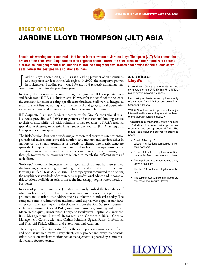

# **BROKER OF THE YEAR** JARDINE LLOYD THOMPSON (JLT) ASIA

**Specialists working under one roof - that is the Matrix system of Jardine Lloyd Thompson (JLT) Asia named the Broker of the Year. With Singapore as their regional headquarters, the specialists and their teams work across hierarchical and geographical boundaries to provide comprehensive professional advice to their clients as well as to deliver the best possible solutions to them.**

I ardine Lloyd Thompson (JLT) Asia is<br>and corporate services in the Asia regi<br>in brokerage and trading profit was 119<br>continuous growth for the past three years. ardine Lloyd Thompson (JLT) Asia is a leading provider of risk solutions and corporate services in the Asia region. In 2000, the company's growth in brokerage and trading profit was 11% and 16% respectively, maintaining J

In Asia, JLT conducts its business through two groups - JLT Corporate Risks and Services and JLT Risk Solutions Asia. However for the benefit of their clients, the company functions as a single profit center business. Staff work as integrated teams of specialists, operating across hierarchical and geographical boundaries to deliver winning skills, services and solutions to Asian businesses.

JLT Corporate Risks and Services incorporates the Group's international retail businesses providing a full risk management and transactional broking service to their clients, while JLT Risk Solutions brings together JLT Asia's regional specialist businesses, or Matrix lines, under one roof in JLT Asia's regional headquarters in Singapore.

The Risk Solutions business provides major corporate clients with comprehensive professional advice, innovative risk solutions and transactional services either in support of JLT's retail operations or directly to clients. The matrix structure spans the Group's core business disciplines and melds the Group's considerable expertise from across the world, enhancing communication and ensuring that, through teamwork, its resources are tailored to match the different needs of each client.

With Asia's economic downturn, the management of JLT Asia has restructured the business, concentrating on building quality skills, intellectual capital and forming a unified "Team Asia" culture. The company was committed to delivering the very highest standards of comprehensive professional advice and innovative risk solutions available in Asia to meet the increasingly sophisticated needs of businesses.

In areas of product innovation, JLT Asia constantly pushed the boundaries of what has historically been known as 'insurance' and pioneering sophisticated products and solutions that address the risks inherent in industries today. The company combined innovation and intellectual capital with superior standards of service. The latest expertise development from the Risk Solutions business includes expertise in Capital Risk (combining insurance, banking and Capital Market techniques), Reinsurance (Treaty and Facultative), Captive Management, Risk Management, Natural Resources and Corporate Risks, Captive Management, Construction and Claims Solutions, Special Risks (Professional and Financial Risks), Affinity and e-Solutions and Aviation.

The company differentiates itself from their competitors through client focus and open structured teams. Every client, every project and every relationship enjoys hands-on involvement from senior management, supported by committed, skilled and focused teams.

#### **About the Sponsor** Lloyd's

More than 100 separate underwriting syndicates form a dynamic market that is a major power in world insurance.

Each policy written is backed by the security of an A rating from A.M.Best and an A+ from Standard & Poor's.

With 62% of their capital provided by major international insurers, they are at the heart of the global insurance industry

The structure of the market, containing over 100 distinct business units, promotes creativity and entrepreneurial flair. The result: rapid solutions tailored to business needs

- 5 out of the top 10 telecommunications companies rely on
- their networks.
- 8 out of the top 10 pharmaceutical companies feel more secure with them.
- The top 4 petroleum companies enjoy Lloyd's flexibility.
- The top 10 banks let Lloyd's take the risk.
- The top 5 motor vehicle manufacturers feel more secure with Lloyd's.

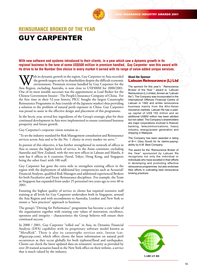

## **REINSURANCE BROKER OF THE YEAR** GUY CARPENTER

## **With new software and systems introduced to their clients, in a year which saw a dynamic growth in its regional business to the tune of some US\$500 million in premium handled, Guy Carpenter won this award with its drive to be the Number One choice in every market it served with its range of value-added unique services.**

With its dynamic growth in the region, Guy Carpenter in Asia exceeded<br>the growth targets set by its shareholders despite the difficult economic<br>environment. Premium revenue handled by Guy Carpenter for the<br>Asia Region, exc the growth targets set by its shareholders despite the difficult economic environment. Premium revenue handled by Guy Carpenter for the Asia Region, excluding Australia, is now close to US\$500M for 2000/2001. One of its most notable successes was the appointment as Lead Broker for the Chinese Government Insurer - The People's Insurance Company of China. For the first time in their 52-year history, PICC bought the largest Catastrophe Reinsurance Programme in Asia (outside of the Japanese market) thus providing a solution to the problem of natural perils exposure in China. Guy Carpenter was proud to assist in the effective design and placement of this programme.

In the hectic year, several key ingredients of the Group's strategic plan for their continued development in Asia were implemented to ensure continued business prosperity and future growth.

Guy Carpenter's corporate vision remains as :

"To set the industry standard for Risk Management consultation and Reinsurance services across Asia and to be the No. 1 choice in every market we serve."

In pursuit of this objective, it has further strengthened its network of offices in Asia to ensure the highest levels of service. In the Asian continent, excluding Australia and New Zealand, with the two new offices in Labuan and Manila, it now has 6 offices in 6 countries (Seoul, Tokyo, Hong Kong, and Singapore being the other four) with 100 staff.

Guy Carpenter has gone the extra mile to strengthen existing offices in the region with the deployment of additional key competencies such as Actuarial/ Financial Analysts, qualified Risk Managers and additional experienced Brokers for both Facultative and Treaty Reinsurance disciplines. For example, the Team in Singapore has expanded from under 25 personnel two years ago to over 40 in 2001.

Ensuring the highest quality of service to clients has required extensive staff training at all levels for Guy Carpenter undertaken both in Singapore, around the Asia Region and with secondments to Australia, London and New York to ensure a "best practices" approach to business.

The group's "Driving for Performance" programme has become a core value of the organisation together with existing core values of innovation, excellence, openness and integrity - characteristics the Group believes will ensure their continued success.

In 2000 / 2001, Guy Carpenter "rolled out" in Asia, its Dynamic Financial Analysis (DFA) capability with its proprietary software model known as "MetaRisk". There is also its catastrophe services unit, Instrat (cati@guycarp.com), which offers clients the latest information on natural peril occurrences as they occur globally for both typhoon/flood and earthquakes. Clients can check the latest updated data on reinsurers' security as provided by over 20 trained actuaries based in the New York office on their website, a service that is much valued by the industry.

#### **About the Sponsor** Labuan Reinsurance (L) Ltd

The sponsor for this vear's " Reinsurance Broker of the Year " award is Labuan Reinsurance (L) Limited, (known as "Labuan Re"). The Company was incorporated in the International Offshore Financial Centre of Labuan in 1992 and writes reinsurance business mainly from the Afro-Asian insurance markets. Labuan Re has a paidup capital of US\$ 150 million and an additional US\$50 million has been allotted but not called. The Company's shareholders are major corporations involved in finance/ banking, telecommunications, heavy industry, energy/power generation and shipping in Malaysia.

The Company has been awarded a rating of B++ (Very Good) for its claims-payingability by A.M. Best Company.

The award for the "Reinsurance Broker of the Year" sponsored by Labuan Re recognizes not only the individual or individuals who have excelled in their efforts in developing and promoting effective reinsurance programmes but also endorses their efforts in cultivating best reinsurance broking practices.



**LABUAN RE**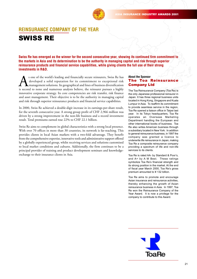

## **REINSURANCE COMPANY OF THE YEAR** SWISS RE

**Swiss Re has emerged as the winner for the second consecutive year, showing its continued firm commitment to the markets in Asia and its determination to be the authority in managing capital and risk through superior reinsurance products and financial service capabilities, while giving clients the full use of their strong investments in R&D.**

s one of the world's leading and financially secure reinsurers, Swiss Re has developed a solid reputation for its commitment to exceptional risk management solutions. Its geographical and lines of business diversification developed a solid reputation for its commitment to exceptional risk management solutions. Its geographical and lines of business diversification is second to none and numerous analysts believe, the reinsurer pursues a highly innovative corporate strategy. Its core competencies are risk transfer, risk finance and asset management. Their objective is to be the authority in managing capital and risk through superior reinsurance products and financial service capabilities.

In 2000, Swiss Re achieved a double-digit increase in its earnings-per-share result, for the seventh consecutive year. A strong group profit of CHF 2,966 million was driven by a strong improvement in the non-life business and a record investment result. Total premiums earned rose 22% to CHF 22.1 billion.

Swiss Re aims to complement its global characteristics with a strong local presence. With over 70 offices in more than 30 countries, its network is far-reaching. This provides clients in local Asian markets with a two-fold advantage. They benefit from the comprehensive expertise, innovative tools and administrative support offered by a globally experienced group, whilst receiving services and solutions customised to local market conditions and cultures. Additionally, the firm continues to be a principal provider of training and product development seminars and knowledgeexchange to their insurance clients in Asia.

### **About the Sponsor** The Toa Reinsurance Company Ltd

The Toa Reinsurance Company (Toa Re) is the only Japanese professional reinsurer in Japan. It has three regional business units located in Hong Kong, Singapore and Kuala Lumpur in Asia. To reaffirm its commitment to provide seamless service in the region, Toa Re opened a liaison office in Taipei last year. In its Tokyo headquarters, Toa Re operates an Overseas Marketing Department handling the European and other international books of business. Toa Re also writes American business through a subsidiary located in New York. In addition to general reinsurance business, in 1997 the company was granted a licence to underwrite life reinsurance in Japan, making Toa Re a composite reinsurance company providing a spectrum of life and non-life services to its clients.

Toa Re is rated AA- by Standard & Poor's, and A+ by A M Best. These ratings symbolize Toa Re's financial strength and its strong position in the market. At the end of fiscal year March 2000, Toa Re's gross premium amounted to ¥ 132 billion.

Toa Re aims to promote and encourage Asian insurance and reinsurance activities, thereby enhancing the growth of Asian reinsurance business in Asia. In 1997, Toa Re won the Reinsurance Company of the Year Award. It is now a privilege for the company to contribute to this Award.

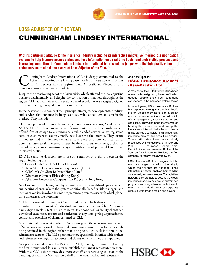

## **LOSS ADJUSTER OF THE YEAR**

## CUNNINGHAM LINDSEY INTERNATIONAL

**With its partnering attitude to the insurance industry including its interactive innovative Internet loss notification systems to help insurers access claims and loss information on a real time basis, and their visible presence and increasing commitment, Cunningham Lindsey International impressed the judges with its high quality value added service to clinch the award of Loss Adjuster of the Year.**

Cunningham Lindsey International (CLI) is deeply committed to the Asian insurance industry having been here for 11 years now with offices in 11 markets in the region from Australia to Vietnam, and representations in three Asian insurance industry having been here for 11 years now with offices in 11 markets in the region from Australia to Vietnam, and representations in three more markets.

Despite the negative impact of the Asian crisis, which affected the loss adjusting business detrimentally, and despite the contraction of markets throughout the region, CLI has maintained and developed market volume by strategies designed to sustain the highest quality of professional service.

In the past year, CLI boasts of four principal strategies, developments, products and services that enhance its image as a key value-added loss adjuster in the market. They include:

The development of Internet claims incident notification systems, "newloss.com" & "ENOTES". These innovative notification systems, developed in-house and offered free of charge to customers as a value-added service, allow registered account customers to securely notify new losses via the internet. They ensure immediate and simultaneous email and/or SMS-to-phone notification of potential losses to all interested parties, be they insurers, reinsurers, brokers or loss adjusters, thus eliminating delays in notification of potential losses to all interested parties.

ENOTES and newloss.com are in use on a number of major projects in the region including the

- Taiwan High Speed Rail Link (Taiwan)
- Delhi Metro Corporation subway project (India)
- KCRC Ma On Shan Railway (Hong Kong)
- Cyberport (Contact Risks) (Hong Kong)
- Cyberport Employee Compensation Program (Hong Kong)

Newloss.com is also being used by a number of major worldwide property and engineering clients, where the system additionally benefits risk managers and insurance carriers involved in such programmes, given the ease with which global time differences are overcome.

CLI has pioneered an Internet Client Interface by which their customers can monitor the development of individual cases or an entire portfolio, 24 hours a day, 7 days a week (24/7). This eliminates "telephone-tag" as facility clients can download customised reports and bordereaux at any time, giving unprecedented control and oversight of claims assigned to CLI.

A dedicated office was established in Singapore given the increasing importance of Singapore as a regional broking and reinsurance centre with risks increasingly being retained in the region rather than being reinsured back into traditional reinsurance centres. The CLI operations there specifically interface with brokers and reinsurers on regional accounts and claims on which they are appointed.

An operation was developed in Vietnam in 2001, making Cunningham Lindsey the first international loss adjuster to establish permanent representation there. With this, CLI is able to provide a more cost effective servicing solution to the handling of claims in Vietnam on behalf of the local market and reinsurers.

#### **About the Sponsor** HSBC Insurance Brokers (Asia-Pacific) Ltd

A member of the HSBC Group, it has been one of the fastest growing brokers of the last decade, despite the difficult conditions experienced in the insurance broking sector.

In recent years, HSBC Insurance Brokers has expanded throughout the Asia-Pacific region where they have achieved an enviable reputation for innovation in the field of risk management, insurance broking and consulting. They also pride themselves on having the resources to develop the innovative solutions to their clients' problems and to provide a complete risk management, insurance broking and consulting service. These attributes have been widely recognised by the industry and, in 1997 and 2000, HSBC Insurance Brokers (Asia-Pacific) Limited was awarded Broker of the Year by Asia Insurance Review, the first company to receive the award twice.

HSBC Insurance Brokers recognise that the world is changing and, with it, the risks to which their clients are exposed. Their international network enables them to adapt successfully to these changes. Through their network, they are able to access the global insurance markets and develop customised programmes using advanced techniques to meet the individual needs of corporate clients in Asia-Pacific region and beyond.

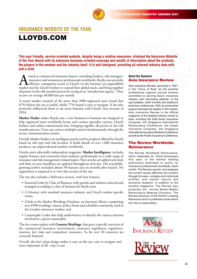

## LLOYDS.COM **INSURANCE WEBSITE OF THE YEAR**

**This user friendly, service oriented website, despite being a relative newcomer, clinched the Insurance Website of the Year Award with its extensive business oriented coverage and wealth of information about the products, the players in the markets and the industry itself. It is well-designed, providing all relevant industry data with just a click.**

Imed at commercial insurance buyers, including brokers, risk managers, insurance and reinsurance professionals worldwide, lloyds.com provides market tool for Lloyd's brokers to extend their global reach, and bring together insurance and reinsurance professionals worldwide, lloyds.com provides efficient, transparent access to Lloyd's via the Internet, an unparalleled market tool for Lloyd's brokers to extend their global reach, and bring together all parties in the risk transfer process by acting as an 'introduction agency'. They receive on average 40,000 hits per month.

A recent market research of the more than 2000 registered users found that 87% believe the site is useful, whilst 77% found it easy to navigate. It has also positively influenced them to do more business with Lloyd's (net increase of 39%).

**Market Finder** makes lloyds.com a true business-to-business site designed to help registered users worldwide locate and contact specialist carriers, Lloyd's brokers and online transactional sites, bringing together all parties in the risk transfer process. Users can contact multiple carriers simultaneously through the secure communication system.

Overall, Market Finder is an intelligent search tool for products offered by Lloyd's based on risk type and risk location. It holds details of over 1,800 insurance products, an unprecedented number worldwide.

Lloyds.com's editorially independent magazine, **Market Intelligence**, includes regular features and comments from industry professionals on a wide range of insurance and risk management-related topics. New articles are added each week and links to news headlines are updated throughout each day. The searchable, growing archive included almost 90 features just six months after launch. No registration is required is to view this section of the site.

The site also includes a Reference section, with four features:

- Essential Links by Class of Business with portals and websites selected and arranged according to class of business by lloyds.com;
- A Glossary with standard insurance industry and Lloyd's market specific terms;
- A link to the Market Wordings Database, an electronic library comprising over 8500 wordings, clauses, policy forms and schedules commonly used in the London insurance market; and
- Catastrophe Codes that help underwriters to identify the various interests involved in a given catastrophe.

The site comes replete with **Country Briefings**, that gives a specific overview of the commercial insurance environment, insurance legislation, regulation, taxation, key risks and compulsory insurance. So far over 20 countries are currently featured.

Overall, the site's clean design makes it easy on the eye, easy to navigate and most important of all - easy to use.

#### **About the Sponsors** Asia Insurance Review

Asia Insurance Review, launched in 1991, is the "Voice of Asia" as the premier professional regional journal remains committed to serving Asia's insurance industry, with informative editorial, on the spot updates, (both monthly and weekly) & technical conferences. With its entrenched support amongst the leaders in the market, Asia Insurance Review is the official magazine of the leading industry events in Asia, including the East Asian Insurance Congress, the Singapore International Reinsurance Conference, the Asean Insurance Congress, the Singapore International Insurance Brokers Conference as well as the Pacific Insurance Conference.

## The Review Worldwide **Reinsurance**

The Review Worldwide Reinsurance, which celebrates its 132nd Anniversary this year, is the market leading publication dedicated to senior re/ insurance professionals worldwide. Each month, The Review reports and analyses the current issues affecting the industry through its news, company and individual profiles, and market reports and exclusive research. In addition to the monthly magazine, The Review also produces the annual Baden-Baden Reinsurance Meeting Directory, The Review Directory of the World's Leading Reinsurers and co-publishes books which are free to subscribers.

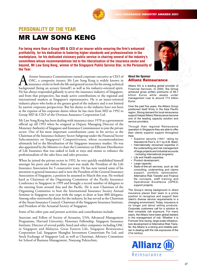

## **PERSONALITY OF THE YEAR** MR LAW SONG KENG

**For being more than a Group MD & CEO of an insurer while ensuring the firm's enhanced profitability, for his dedication to fostering higher standards and professionalism in the marketplace, for his dedicated visionary public service in chairing several of the industry's committees whose recommendations led to the liberalisation of the insurance sector and beyond, Mr Law Song Keng, winner of the Singapore Public Service Star, is the Personality of the Year.**



**A** former Insurance Commissioner turned corporate executive as CEO of OAC, a composite insurer, Mr Law Song Keng is widely known in insurance circles in both the life and general sectors for his strong technical backgroun OAC, a composite insurer, Mr Law Song Keng is widely known in insurance circles in both the life and general sectors for his strong technical background (being an actuary himself) as well as his industry-oriented spirit. He has always responded gallantly to serve the insurance industry of Singapore, and from that perspective, has made active contributions to the regional and international markets as Singapore's representative. He is an issues-oriented industry player who looks at the greater good of the industry and is not limited by narrow corporate perspectives. But his duties to the industry have not been at the expense of his corporate duties where he has risen from MD in 1992 to Group MD & CEO of the Overseas Assurance Corporation Ltd.

Mr Law Song Keng has been dealing with insurance since 1970 as a government official up till 1992 when he resigned as Deputy Managing Director of the Monetary Authority of Singapore and Insurance Commissioner to join the private sector. One of his most important contributions came in his service as the Chairman of the Insurance Industry Sector Subgroup under the Financial Sector Subcommittee on Singapore's' Competitiveness, whose recommendations ultimately led to the liberalisation of the Singapore insurance market. He was also appointed by the Minister to chair the Committee on Efficient Distribution of Life Insurance that was tasked to look at ways and means to enhance the professionalism of the sales force and sales processes.

When he joined the private sector in 1992, he very quickly established himself amongst his peers and within three years was made the President of the Life Insurance Association for 3 consecutive years. He has now turned some of his attention to general insurance and is now the President of the General Insurance Association of Singapore, a position he assumed in March this year. He worked hard as Chairman of the Organising Committee of the Pacific Insurance Conference in Singapore in 1999 and brought a record number of delegates to the meeting from around Asia and the Pacific. He is now Chairman of the Organising Committee to host the International Insurance Society Annual Seminar in Singapore next year with the target to draw at least 800 delegates. Among other noteworthy duties for the industry, he has served as the Chairman of the Asean Insurance Council, Chairman of the Singapore Insurance Institute, and President of the Actuarial Society of Singapore.

Some of his other past and present activities and contributions include:

Associate and Fellow of Society of Actuaries, USA; Advanced Management Programme, Harvard University; Honorary Fellowship, Singapore Insurance Institute; Director of several public listed and other companies including OAC in Singapore and Malaysia, Great Eastern Life, Singapore Reinsurance Corporation Ltd, Singapore Shanghai Investment Consortium Pte Ltd, and Stock Exchange of Singapore Ltd; as well as Chairman, Advisory Committee for School of Business Management, Nanyang Polytechnic.

#### **About the Sponsor** Allianz Reinsurance

Allianz AG is a leading global provider of Financial Services. In 2000, the Group achieved gross written premiums of 68.7 billion Euros while assets under management rose to around 713 billion Euros.

Over the past five years, the Allianz Group positioned itself firmly in the Asia Pacific region. Strong demand for local reinsurance support helped Allianz Reinsurance become one of the leading capacity solution and service providers.

Through their regional Reinsurance operation in Singapore they are able to offer their clients superior support throughout Asia:

- Superior security ('AA+' rating by Standard & Poor's, A++ by A.M. Best);
- Internationally renowned expertise in the underwriting and risk management of large projects and industrial accounts - including international programs;
- Life and Health expertise;
- Product development;
- Large capacity;
- State-of-the-art services, such as risk consulting, underwriting and claims support, portfolio optimization, Alternative Risk Transfer and Finance Re concepts, staff training and Operational Excellence (OPEX) support projects.

The Group's strong background in direct insurance places their team in a prime position to recognize and support their client's diverse service requirements in a changing environment. Today, insurance is no longer just about selling products. Corporate customers call for a solution to their complete risk exposure. For many years, the Allianz have been global leaders in the management of risk. Whether it is Formula One racing, large-scale infrastructure development or Alternative Risk Transfer, the Allianz is a strong and reliable partner in dealing with the risk exposures of the 21st century.